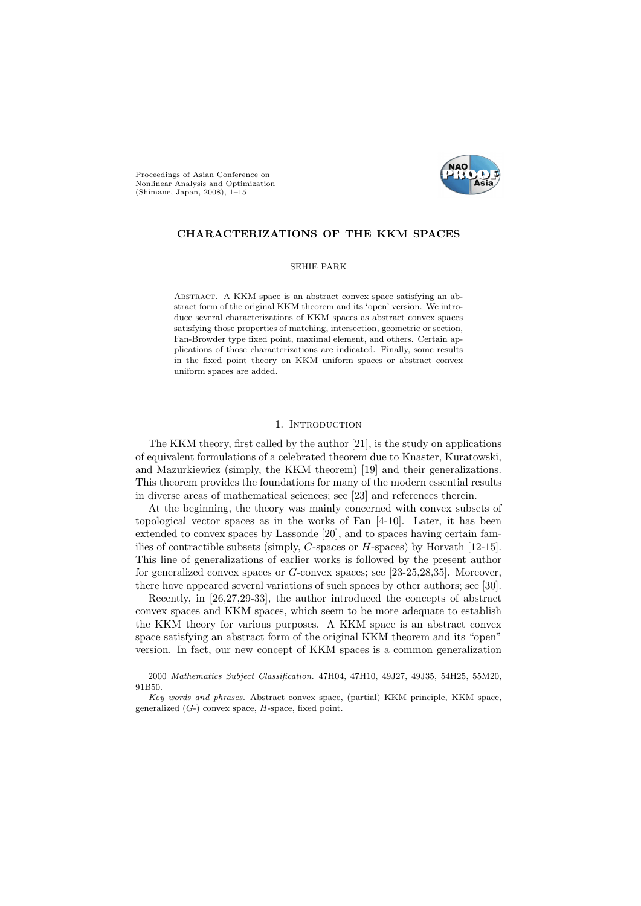



# CHARACTERIZATIONS OF THE KKM SPACES

SEHIE PARK

Abstract. A KKM space is an abstract convex space satisfying an abstract form of the original KKM theorem and its 'open' version. We introduce several characterizations of KKM spaces as abstract convex spaces satisfying those properties of matching, intersection, geometric or section, Fan-Browder type fixed point, maximal element, and others. Certain applications of those characterizations are indicated. Finally, some results in the fixed point theory on KKM uniform spaces or abstract convex uniform spaces are added.

# 1. INTRODUCTION

The KKM theory, first called by the author [21], is the study on applications of equivalent formulations of a celebrated theorem due to Knaster, Kuratowski, and Mazurkiewicz (simply, the KKM theorem) [19] and their generalizations. This theorem provides the foundations for many of the modern essential results in diverse areas of mathematical sciences; see [23] and references therein.

At the beginning, the theory was mainly concerned with convex subsets of topological vector spaces as in the works of Fan [4-10]. Later, it has been extended to convex spaces by Lassonde [20], and to spaces having certain families of contractible subsets (simply, C-spaces or H-spaces) by Horvath [12-15]. This line of generalizations of earlier works is followed by the present author for generalized convex spaces or G-convex spaces; see [23-25,28,35]. Moreover, there have appeared several variations of such spaces by other authors; see [30].

Recently, in [26,27,29-33], the author introduced the concepts of abstract convex spaces and KKM spaces, which seem to be more adequate to establish the KKM theory for various purposes. A KKM space is an abstract convex space satisfying an abstract form of the original KKM theorem and its "open" version. In fact, our new concept of KKM spaces is a common generalization

<sup>2000</sup> Mathematics Subject Classification. 47H04, 47H10, 49J27, 49J35, 54H25, 55M20, 91B50.

Key words and phrases. Abstract convex space, (partial) KKM principle, KKM space, generalized  $(G<sub>-</sub>)$  convex space,  $H$ -space, fixed point.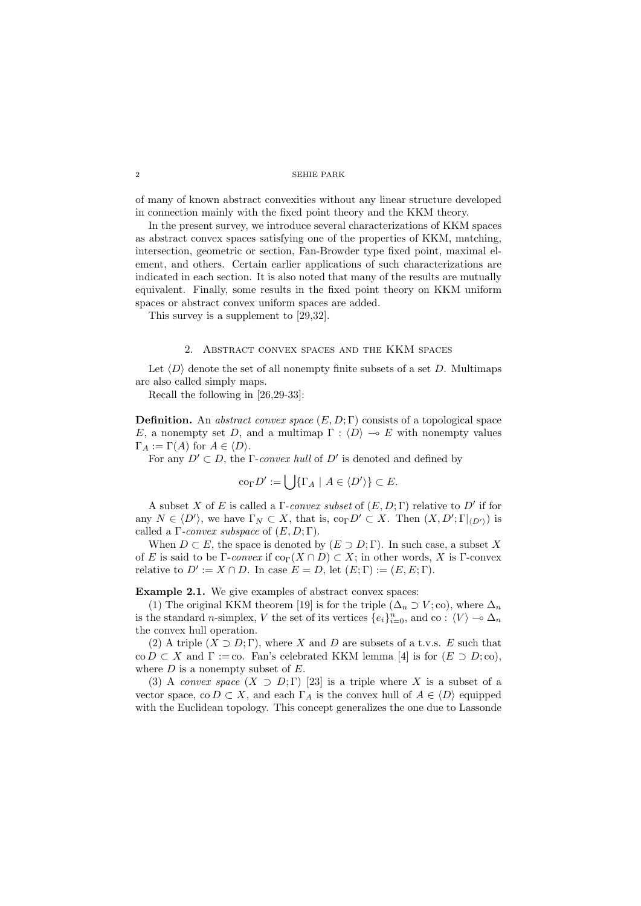of many of known abstract convexities without any linear structure developed in connection mainly with the fixed point theory and the KKM theory.

In the present survey, we introduce several characterizations of KKM spaces as abstract convex spaces satisfying one of the properties of KKM, matching, intersection, geometric or section, Fan-Browder type fixed point, maximal element, and others. Certain earlier applications of such characterizations are indicated in each section. It is also noted that many of the results are mutually equivalent. Finally, some results in the fixed point theory on KKM uniform spaces or abstract convex uniform spaces are added.

This survey is a supplement to [29,32].

# 2. Abstract convex spaces and the KKM spaces

Let  $\langle D \rangle$  denote the set of all nonempty finite subsets of a set D. Multimaps are also called simply maps.

Recall the following in [26,29-33]:

**Definition.** An abstract convex space  $(E, D; \Gamma)$  consists of a topological space E, a nonempty set D, and a multimap  $\Gamma : \langle D \rangle \to E$  with nonempty values  $\Gamma_A := \Gamma(A)$  for  $A \in \langle D \rangle$ .

For any  $D' \subset D$ , the Γ-convex hull of D' is denoted and defined by

$$
\text{co}_{\Gamma} D' := \bigcup \{ \Gamma_A \mid A \in \langle D' \rangle \} \subset E.
$$

A subset X of E is called a  $\Gamma$ -convex subset of  $(E, D; \Gamma)$  relative to D' if for any  $N \in \langle D' \rangle$ , we have  $\Gamma_N \subset X$ , that is,  $\text{co}_{\Gamma} D' \subset X$ . Then  $(X, D'; \Gamma_{\langle D' \rangle})$  is called a  $\Gamma$ -convex subspace of  $(E, D; \Gamma)$ .

When  $D \subset E$ , the space is denoted by  $(E \supset D; \Gamma)$ . In such case, a subset X of E is said to be Γ-convex if  $\text{co}_{\Gamma}(X \cap D) \subset X$ ; in other words, X is Γ-convex relative to  $D' := X \cap D$ . In case  $E = D$ , let  $(E; \Gamma) := (E, E; \Gamma)$ .

# Example 2.1. We give examples of abstract convex spaces:

(1) The original KKM theorem [19] is for the triple  $(\Delta_n \supset V; \text{co})$ , where  $\Delta_n$ is the standard *n*-simplex, V the set of its vertices  $\{e_i\}_{i=0}^n$ , and co :  $\langle V \rangle \to \Delta_n$ the convex hull operation.

(2) A triple  $(X \supset D; \Gamma)$ , where X and D are subsets of a t.v.s. E such that co  $D \subset X$  and  $\Gamma := \text{co. Fan's celebrated KKM lemma [4] is for } (E \supset D; \text{co}),$ where  $D$  is a nonempty subset of  $E$ .

(3) A convex space  $(X \supset D; \Gamma)$  [23] is a triple where X is a subset of a vector space, co  $D \subset X$ , and each  $\Gamma_A$  is the convex hull of  $A \in \langle D \rangle$  equipped with the Euclidean topology. This concept generalizes the one due to Lassonde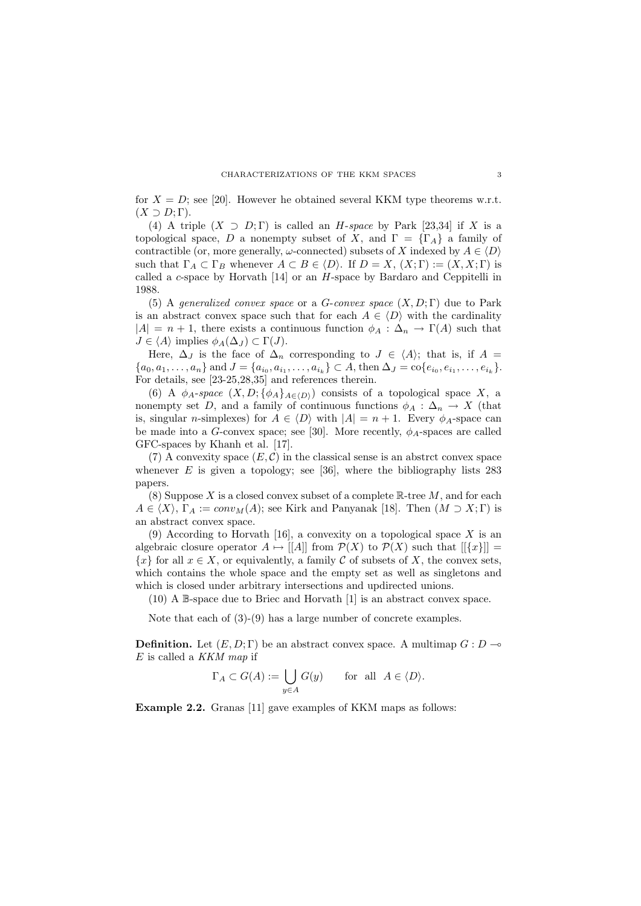for  $X = D$ ; see [20]. However he obtained several KKM type theorems w.r.t.  $(X \supset D; \Gamma).$ 

(4) A triple  $(X \supset D;\Gamma)$  is called an H-space by Park [23,34] if X is a topological space, D a nonempty subset of X, and  $\Gamma = {\lbrace \Gamma_A \rbrace}$  a family of contractible (or, more generally,  $\omega$ -connected) subsets of X indexed by  $A \in \langle D \rangle$ such that  $\Gamma_A \subset \Gamma_B$  whenever  $A \subset B \in \langle D \rangle$ . If  $D = X$ ,  $(X; \Gamma) := (X, X; \Gamma)$  is called a c-space by Horvath  $[14]$  or an H-space by Bardaro and Ceppitelli in 1988.

(5) A generalized convex space or a G-convex space  $(X, D; \Gamma)$  due to Park is an abstract convex space such that for each  $A \in \langle D \rangle$  with the cardinality  $|A| = n + 1$ , there exists a continuous function  $\phi_A : \Delta_n \to \Gamma(A)$  such that  $J \in \langle A \rangle$  implies  $\phi_A(\Delta_J) \subset \Gamma(J)$ .

Here,  $\Delta_J$  is the face of  $\Delta_n$  corresponding to  $J \in \langle A \rangle$ ; that is, if  $A =$  ${a_0, a_1, \ldots, a_n}$  and  $J = {a_{i_0}, a_{i_1}, \ldots, a_{i_k}} \subset A$ , then  $\Delta_J = \text{co}\{e_{i_0}, e_{i_1}, \ldots, e_{i_k}\}.$ For details, see [23-25,28,35] and references therein.

(6) A  $\phi_A$ -space  $(X, D; {\phi_A}_{A\in\langle D \rangle})$  consists of a topological space X, a nonempty set D, and a family of continuous functions  $\phi_A : \Delta_n \to X$  (that is, singular n-simplexes) for  $A \in \langle D \rangle$  with  $|A| = n + 1$ . Every  $\phi_A$ -space can be made into a G-convex space; see [30]. More recently,  $\phi_A$ -spaces are called GFC-spaces by Khanh et al. [17].

(7) A convexity space  $(E, \mathcal{C})$  in the classical sense is an abstrct convex space whenever  $E$  is given a topology; see [36], where the bibliography lists 283 papers.

(8) Suppose X is a closed convex subset of a complete  $\mathbb{R}$ -tree M, and for each  $A \in \langle X \rangle$ ,  $\Gamma_A := conv_M(A)$ ; see Kirk and Panyanak [18]. Then  $(M \supset X; \Gamma)$  is an abstract convex space.

(9) According to Horvath [16], a convexity on a topological space  $X$  is an algebraic closure operator  $A \mapsto |[A]|$  from  $\mathcal{P}(X)$  to  $\mathcal{P}(X)$  such that  $|[\{x\}]|$  =  ${x}$  for all  $x \in X$ , or equivalently, a family C of subsets of X, the convex sets, which contains the whole space and the empty set as well as singletons and which is closed under arbitrary intersections and updirected unions.

(10) A B-space due to Briec and Horvath [1] is an abstract convex space.

Note that each of (3)-(9) has a large number of concrete examples.

**Definition.** Let  $(E, D; \Gamma)$  be an abstract convex space. A multimap  $G: D \rightarrow$  $E$  is called a  $KKM$  map if

$$
\Gamma_A \subset G(A) := \bigcup_{y \in A} G(y) \quad \text{for all } A \in \langle D \rangle.
$$

Example 2.2. Granas [11] gave examples of KKM maps as follows: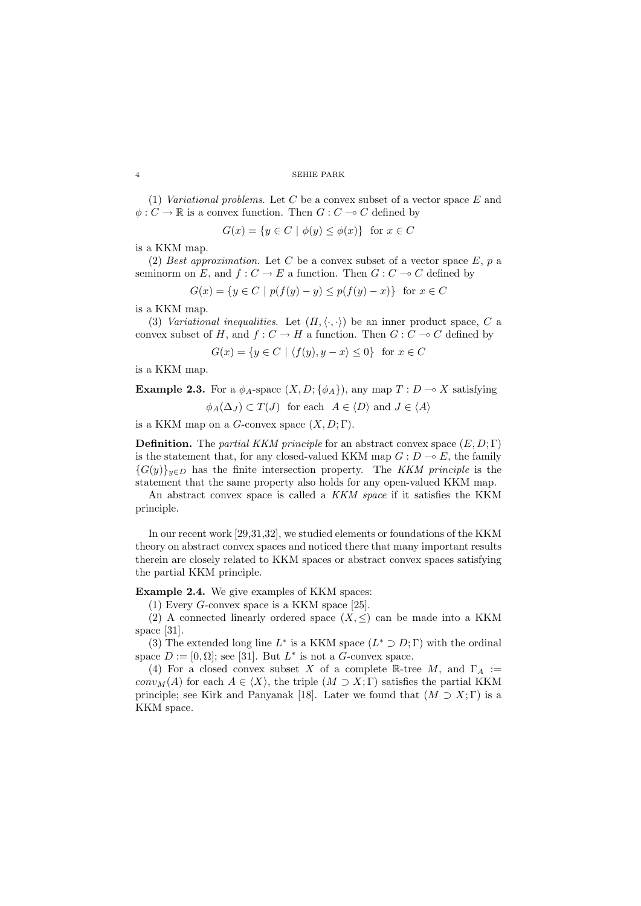(1) Variational problems. Let C be a convex subset of a vector space  $E$  and  $\phi: C \to \mathbb{R}$  is a convex function. Then  $G: C \to C$  defined by

$$
G(x) = \{ y \in C \mid \phi(y) \le \phi(x) \} \text{ for } x \in C
$$

is a KKM map.

(2) Best approximation. Let C be a convex subset of a vector space  $E$ , p a seminorm on E, and  $f: C \to E$  a function. Then  $G: C \to C$  defined by

$$
G(x) = \{ y \in C \mid p(f(y) - y) \le p(f(y) - x) \} \text{ for } x \in C
$$

is a KKM map.

(3) Variational inequalities. Let  $(H, \langle \cdot, \cdot \rangle)$  be an inner product space, C a convex subset of H, and  $f: C \to H$  a function. Then  $G: C \to C$  defined by

$$
G(x) = \{ y \in C \mid \langle f(y), y - x \rangle \le 0 \} \text{ for } x \in C
$$

is a KKM map.

**Example 2.3.** For a  $\phi_A$ -space  $(X, D; {\phi_A})$ , any map  $T : D \to X$  satisfying

$$
\phi_A(\Delta_J) \subset T(J)
$$
 for each  $A \in \langle D \rangle$  and  $J \in \langle A \rangle$ 

is a KKM map on a G-convex space  $(X, D; \Gamma)$ .

**Definition.** The *partial KKM principle* for an abstract convex space  $(E, D; \Gamma)$ is the statement that, for any closed-valued KKM map  $G: D \to E$ , the family  ${G(y)}_{y\in D}$  has the finite intersection property. The KKM principle is the statement that the same property also holds for any open-valued KKM map.

An abstract convex space is called a KKM space if it satisfies the KKM principle.

In our recent work [29,31,32], we studied elements or foundations of the KKM theory on abstract convex spaces and noticed there that many important results therein are closely related to KKM spaces or abstract convex spaces satisfying the partial KKM principle.

Example 2.4. We give examples of KKM spaces:

(1) Every G-convex space is a KKM space [25].

(2) A connected linearly ordered space  $(X, \leq)$  can be made into a KKM space [31].

(3) The extended long line  $L^*$  is a KKM space  $(L^* \supset D; \Gamma)$  with the ordinal space  $D := [0, \Omega]$ ; see [31]. But  $L^*$  is not a G-convex space.

(4) For a closed convex subset X of a complete R-tree M, and  $\Gamma_A :=$  $conv<sub>M</sub>(A)$  for each  $A \in \langle X \rangle$ , the triple  $(M \supset X; \Gamma)$  satisfies the partial KKM principle; see Kirk and Panyanak [18]. Later we found that  $(M \supset X; \Gamma)$  is a KKM space.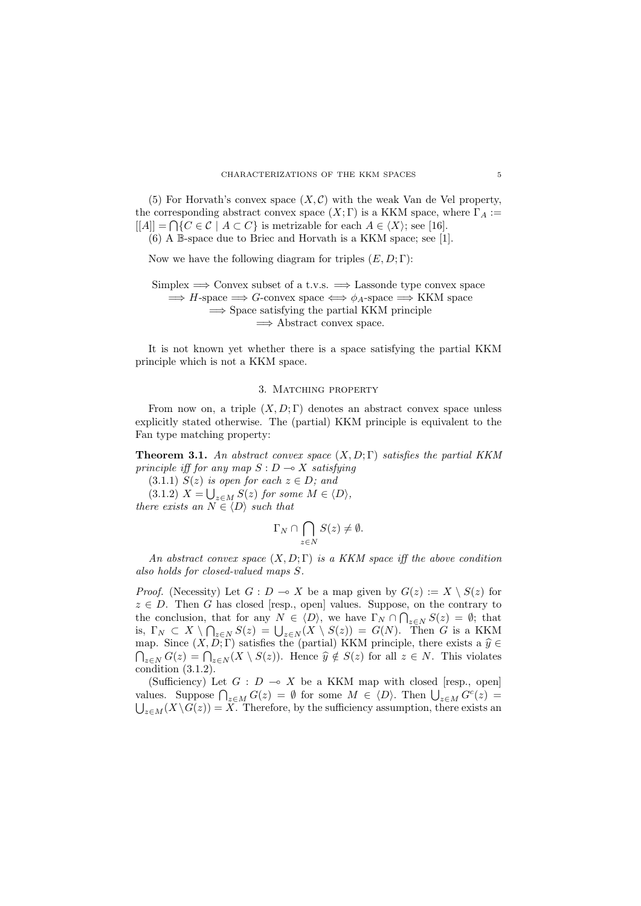(5) For Horvath's convex space  $(X, \mathcal{C})$  with the weak Van de Vel property, the corresponding abstract convex space  $(X; \Gamma)$  is a KKM space, where  $\Gamma_A :=$  $[[A]] = \bigcap \{C \in \mathcal{C} \mid A \subset C\}$  is metrizable for each  $A \in \langle X \rangle$ ; see [16]. (6) A B-space due to Briec and Horvath is a KKM space; see [1].

Now we have the following diagram for triples  $(E, D; \Gamma)$ :

Simplex  $\implies$  Convex subset of a t.v.s.  $\implies$  Lassonde type convex space  $\implies$  H-space  $\implies$  G-convex space  $\iff \phi_A$ -space  $\implies$  KKM space  $\implies$  Space satisfying the partial KKM principle  $\Rightarrow$  Abstract convex space.

It is not known yet whether there is a space satisfying the partial KKM principle which is not a KKM space.

# 3. Matching property

From now on, a triple  $(X, D; \Gamma)$  denotes an abstract convex space unless explicitly stated otherwise. The (partial) KKM principle is equivalent to the Fan type matching property:

**Theorem 3.1.** An abstract convex space  $(X, D; \Gamma)$  satisfies the partial KKM principle iff for any map  $S: D \longrightarrow X$  satisfying

(3.1.1)  $S(z)$  is open for each  $z \in D$ ; and

 $(3.1.2)$   $X = \bigcup_{z \in M} S(z)$  for some  $M \in \langle D \rangle$ , there exists an  $N \in \langle D \rangle$  such that

$$
\Gamma_N \cap \bigcap_{z \in N} S(z) \neq \emptyset.
$$

An abstract convex space  $(X, D; \Gamma)$  is a KKM space iff the above condition also holds for closed-valued maps S.

*Proof.* (Necessity) Let  $G : D \to X$  be a map given by  $G(z) := X \setminus S(z)$  for  $z \in D$ . Then G has closed [resp., open] values. Suppose, on the contrary to the conclusion, that for any  $N \in \langle D \rangle$ , we have  $\Gamma_N \cap \bigcap_{z \in N} S(z) = \emptyset$ ; that is,  $\Gamma_N \subset X \setminus \bigcap_{z \in N} S(z) = \bigcup_{z \in N} (X \setminus S(z)) = G(N)$ . Then G is a KKM map. Since  $(X, D; \Gamma)$  satisfies the (partial) KKM principle, there exists a  $\hat{y} \in$  $\bigcap_{z \in N} G(z) = \bigcap_{z \in N} (X \setminus S(z))$ . Hence  $\widehat{y} \notin S(z)$  for all  $z \in N$ . This violates condition (3.1.2).

(Sufficiency) Let  $G : D \multimap X$  be a KKM map with closed [resp., open] values. Suppose  $\bigcap_{z \in M} G(z) = \emptyset$  for some  $M \in \langle D \rangle$ . Then  $\bigcup_{z \in M} G^c(z) =$  $\bigcup_{z \in M} (X \setminus G(z)) = X$ . Therefore, by the sufficiency assumption, there exists an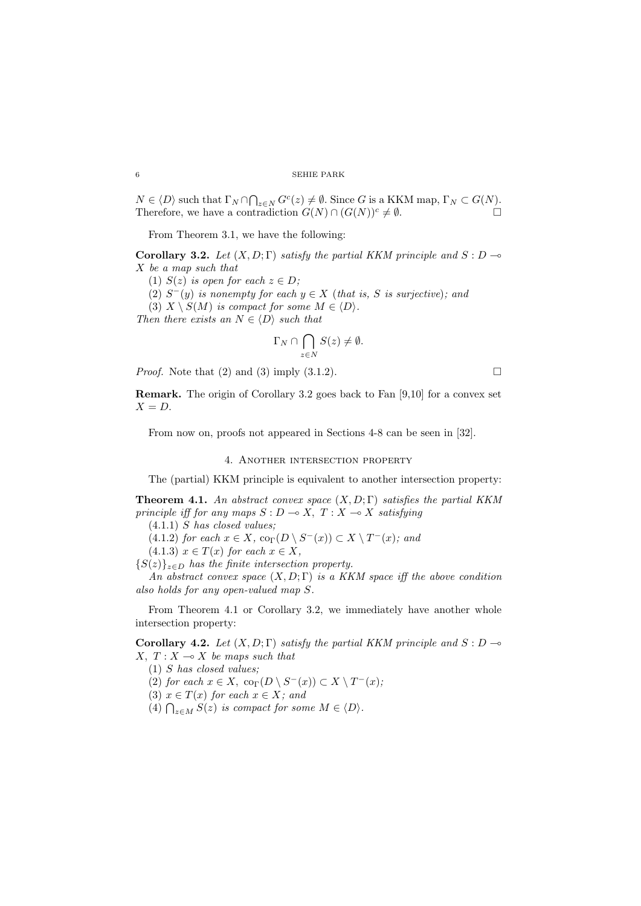$N \in \langle D \rangle$  such that  $\Gamma_N \cap \bigcap_{z \in N} G^c(z) \neq \emptyset$ . Since G is a KKM map,  $\Gamma_N \subset G(N)$ . Therefore, we have a contradiction  $G(N) \cap (G(N))^c \neq \emptyset$ .

From Theorem 3.1, we have the following:

Corollary 3.2. Let  $(X, D; \Gamma)$  satisfy the partial KKM principle and  $S: D \rightarrow$ X be a map such that

- (1)  $S(z)$  is open for each  $z \in D$ ;
- (2)  $S^-(y)$  is nonempty for each  $y \in X$  (that is, S is surjective); and

(3)  $X \setminus S(M)$  is compact for some  $M \in \langle D \rangle$ .

Then there exists an  $N \in \langle D \rangle$  such that

$$
\Gamma_N \cap \bigcap_{z \in N} S(z) \neq \emptyset.
$$

*Proof.* Note that (2) and (3) imply (3.1.2).

Remark. The origin of Corollary 3.2 goes back to Fan [9,10] for a convex set  $X = D$ .

From now on, proofs not appeared in Sections 4-8 can be seen in [32].

### 4. Another intersection property

The (partial) KKM principle is equivalent to another intersection property:

**Theorem 4.1.** An abstract convex space  $(X, D; \Gamma)$  satisfies the partial KKM principle iff for any maps  $S : D \longrightarrow X$ ,  $T : X \longrightarrow X$  satisfying

 $(4.1.1)$  S has closed values;

(4.1.2) for each  $x \in X$ ,  $\text{co}_{\Gamma}(D \setminus S^{-}(x)) \subset X \setminus T^{-}(x)$ ; and

 $(4.1.3)$   $x \in T(x)$  for each  $x \in X$ ,

 $\{S(z)\}_{z\in D}$  has the finite intersection property.

An abstract convex space  $(X, D; \Gamma)$  is a KKM space iff the above condition also holds for any open-valued map S.

From Theorem 4.1 or Corollary 3.2, we immediately have another whole intersection property:

Corollary 4.2. Let  $(X, D; \Gamma)$  satisfy the partial KKM principle and  $S: D \rightarrow$  $X, T : X \longrightarrow X$  be maps such that

(1) S has closed values;

(2) for each  $x \in X$ ,  $\operatorname{co}_{\Gamma}(D \setminus S^{-}(x)) \subset X \setminus T^{-}(x)$ ,

(3)  $x \in T(x)$  for each  $x \in X$ ; and

(4)  $\bigcap_{z \in M} S(z)$  is compact for some  $M \in \langle D \rangle$ .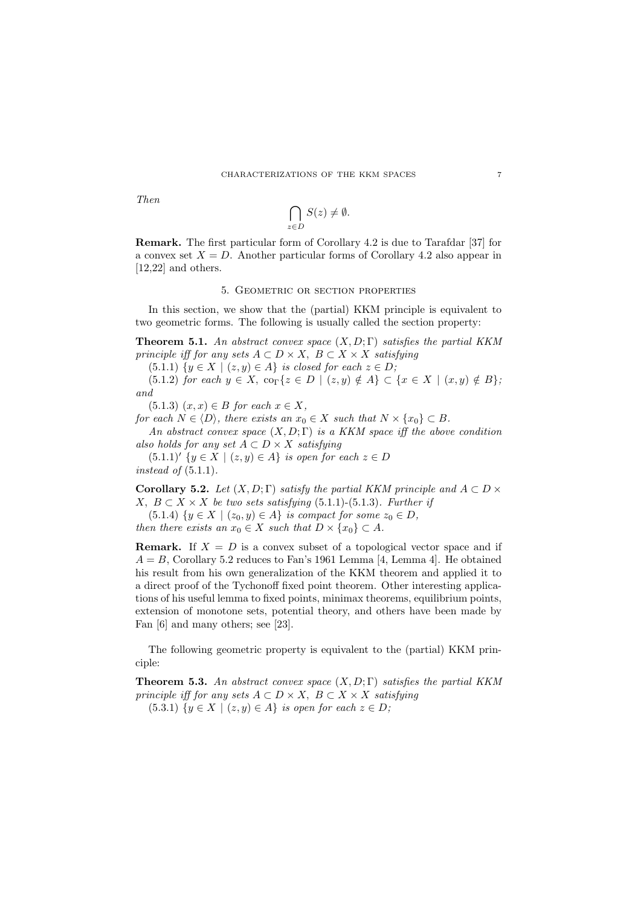Then

$$
\bigcap_{z\in D}S(z)\neq \emptyset.
$$

Remark. The first particular form of Corollary 4.2 is due to Tarafdar [37] for a convex set  $X = D$ . Another particular forms of Corollary 4.2 also appear in [12,22] and others.

# 5. Geometric or section properties

In this section, we show that the (partial) KKM principle is equivalent to two geometric forms. The following is usually called the section property:

**Theorem 5.1.** An abstract convex space  $(X, D; \Gamma)$  satisfies the partial KKM principle iff for any sets  $A \subset D \times X$ ,  $B \subset X \times X$  satisfying

(5.1.1)  $\{y \in X \mid (z, y) \in A\}$  is closed for each  $z \in D$ ;

(5.1.2) for each  $y \in X$ ,  $\text{co}_{\Gamma} \{z \in D \mid (z, y) \notin A\} \subset \{x \in X \mid (x, y) \notin B\};$ and

(5.1.3)  $(x, x) \in B$  for each  $x \in X$ ,

for each  $N \in \langle D \rangle$ , there exists an  $x_0 \in X$  such that  $N \times \{x_0\} \subset B$ . An abstract convex space  $(X, D; \Gamma)$  is a KKM space iff the above condition

also holds for any set  $A \subset D \times X$  satisfying  $(5.1.1)'$  { $y \in X \mid (z, y) \in A$ } is open for each  $z \in D$ instead of  $(5.1.1)$ .

Corollary 5.2. Let  $(X, D; \Gamma)$  satisfy the partial KKM principle and  $A \subset D \times$ X,  $B \subset X \times X$  be two sets satisfying (5.1.1)-(5.1.3). Further if

(5.1.4)  $\{y \in X \mid (z_0, y) \in A\}$  is compact for some  $z_0 \in D$ ,

then there exists an  $x_0 \in X$  such that  $D \times \{x_0\} \subset A$ .

**Remark.** If  $X = D$  is a convex subset of a topological vector space and if  $A = B$ , Corollary 5.2 reduces to Fan's 1961 Lemma [4, Lemma 4]. He obtained his result from his own generalization of the KKM theorem and applied it to a direct proof of the Tychonoff fixed point theorem. Other interesting applications of his useful lemma to fixed points, minimax theorems, equilibrium points, extension of monotone sets, potential theory, and others have been made by Fan [6] and many others; see [23].

The following geometric property is equivalent to the (partial) KKM principle:

**Theorem 5.3.** An abstract convex space  $(X, D; \Gamma)$  satisfies the partial KKM principle iff for any sets  $A \subset D \times X$ ,  $B \subset X \times X$  satisfying (5.3.1)  $\{y \in X \mid (z, y) \in A\}$  is open for each  $z \in D$ ;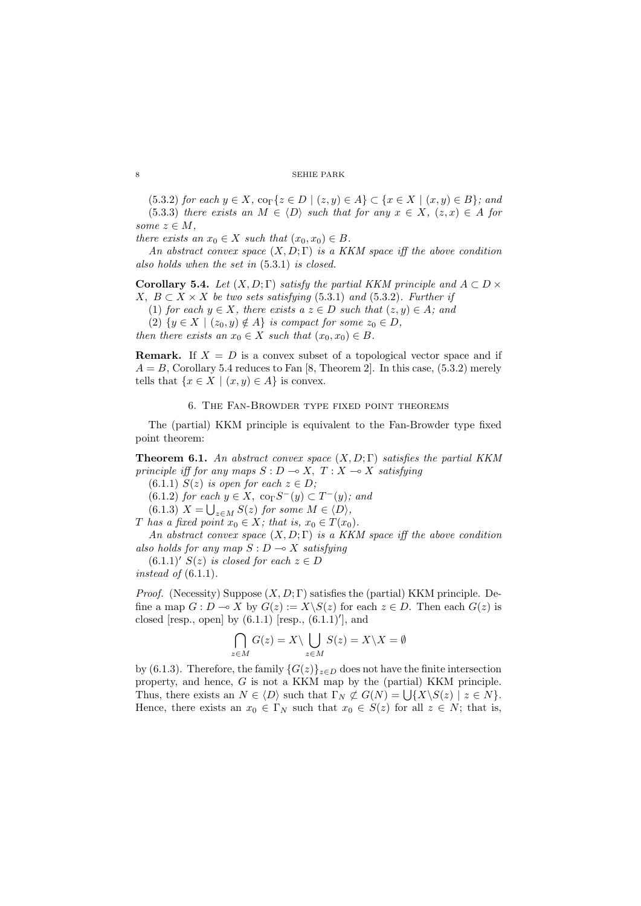(5.3.2) for each  $y \in X$ ,  $\text{co}_{\Gamma} \{z \in D \mid (z, y) \in A\} \subset \{x \in X \mid (x, y) \in B\}$ ; and (5.3.3) there exists an  $M \in \langle D \rangle$  such that for any  $x \in X$ ,  $(z, x) \in A$  for some  $z \in M$ ,

there exists an  $x_0 \in X$  such that  $(x_0, x_0) \in B$ .

An abstract convex space  $(X, D; \Gamma)$  is a KKM space iff the above condition also holds when the set in (5.3.1) is closed.

Corollary 5.4. Let  $(X, D; \Gamma)$  satisfy the partial KKM principle and  $A \subset D \times$ X,  $B \subset X \times X$  be two sets satisfying (5.3.1) and (5.3.2). Further if

(1) for each  $y \in X$ , there exists  $a \ z \in D$  such that  $(z, y) \in A$ ; and

(2)  $\{y \in X \mid (z_0, y) \notin A\}$  is compact for some  $z_0 \in D$ ,

then there exists an  $x_0 \in X$  such that  $(x_0, x_0) \in B$ .

**Remark.** If  $X = D$  is a convex subset of a topological vector space and if  $A = B$ , Corollary 5.4 reduces to Fan [8, Theorem 2]. In this case, (5.3.2) merely tells that  $\{x \in X \mid (x, y) \in A\}$  is convex.

6. The Fan-Browder type fixed point theorems

The (partial) KKM principle is equivalent to the Fan-Browder type fixed point theorem:

**Theorem 6.1.** An abstract convex space  $(X, D; \Gamma)$  satisfies the partial KKM principle iff for any maps  $S : D \longrightarrow X$ ,  $T : X \longrightarrow X$  satisfying

(6.1.1)  $S(z)$  is open for each  $z \in D$ ;

 $(6.1.2)$  for each  $y \in X$ ,  $\text{co}_{\Gamma}S^{-}(y) \subset T^{-}(y)$ ; and

 $(6.1.3)$   $X = \bigcup_{z \in M} S(z)$  for some  $M \in \langle D \rangle$ ,

T has a fixed point  $x_0 \in X$ ; that is,  $x_0 \in T(x_0)$ .

An abstract convex space  $(X, D; \Gamma)$  is a KKM space iff the above condition also holds for any map  $S: D \longrightarrow X$  satisfying

 $(6.1.1)'$  S(z) is closed for each  $z \in D$ 

instead of  $(6.1.1)$ .

*Proof.* (Necessity) Suppose  $(X, D; \Gamma)$  satisfies the (partial) KKM principle. Define a map  $G: D \to X$  by  $G(z) := X\backslash S(z)$  for each  $z \in D$ . Then each  $G(z)$  is closed [resp., open] by  $(6.1.1)$  [resp.,  $(6.1.1)'$ ], and

$$
\bigcap_{z \in M} G(z) = X \setminus \bigcup_{z \in M} S(z) = X \setminus X = \emptyset
$$

by (6.1.3). Therefore, the family  $\{G(z)\}_{z\in D}$  does not have the finite intersection property, and hence, G is not a KKM map by the (partial) KKM principle. Thus, there exists an  $N \in \langle D \rangle$  such that  $\Gamma_N \not\subset G(N) = \bigcup \{ X \setminus S(z) \mid z \in N \}.$ Hence, there exists an  $x_0 \in \Gamma_N$  such that  $x_0 \in S(z)$  for all  $z \in N$ ; that is,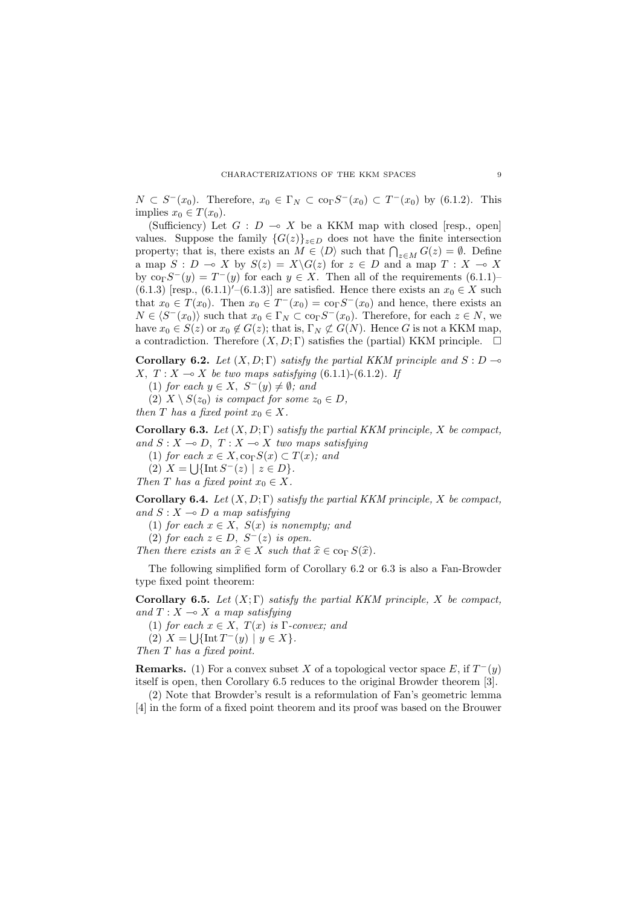$N \subset S^-(x_0)$ . Therefore,  $x_0 \in \Gamma_N \subset \text{co}_{\Gamma}S^-(x_0) \subset T^-(x_0)$  by (6.1.2). This implies  $x_0 \in T(x_0)$ .

(Sufficiency) Let  $G : D \multimap X$  be a KKM map with closed [resp., open] values. Suppose the family  $\{G(z)\}_{z\in D}$  does not have the finite intersection property; that is, there exists an  $M \in \langle D \rangle$  such that  $\bigcap_{z \in M} G(z) = \emptyset$ . Define a map  $S : D \multimap X$  by  $S(z) = X\backslash G(z)$  for  $z \in D$  and a map  $T : X \multimap X$ by  $\text{co}_{\Gamma}S^{-}(y) = T^{-}(y)$  for each  $y \in X$ . Then all of the requirements  $(6.1.1)$ (6.1.3) [resp., (6.1.1)'–(6.1.3)] are satisfied. Hence there exists an  $x_0 \in X$  such that  $x_0 \in T(x_0)$ . Then  $x_0 \in T^{-}(x_0) = \text{co}_{\Gamma} S^{-}(x_0)$  and hence, there exists an  $N \in \langle S^{-}(x_0) \rangle$  such that  $x_0 \in \Gamma_N \subset \text{co}_\Gamma S^{-}(x_0)$ . Therefore, for each  $z \in N$ , we have  $x_0 \in S(z)$  or  $x_0 \notin G(z)$ ; that is,  $\Gamma_N \not\subset G(N)$ . Hence G is not a KKM map, a contradiction. Therefore  $(X, D; \Gamma)$  satisfies the (partial) KKM principle.  $\Box$ 

Corollary 6.2. Let  $(X, D; \Gamma)$  satisfy the partial KKM principle and  $S: D \rightarrow$ X,  $T: X \rightarrow X$  be two maps satisfying (6.1.1)-(6.1.2). If

(1) for each  $y \in X$ ,  $S^-(y) \neq \emptyset$ ; and

(2)  $X \setminus S(z_0)$  is compact for some  $z_0 \in D$ ,

then T has a fixed point  $x_0 \in X$ .

Corollary 6.3. Let  $(X, D; \Gamma)$  satisfy the partial KKM principle, X be compact, and  $S : X \to D$ ,  $T : X \to X$  two maps satisfying

(1) for each  $x \in X$ ,  $\operatorname{co}_\Gamma S(x) \subset T(x)$ ; and

(2)  $X = \bigcup \{ \text{Int } S^{-}(z) \mid z \in D \}.$ 

Then T has a fixed point  $x_0 \in X$ .

Corollary 6.4. Let  $(X, D; \Gamma)$  satisfy the partial KKM principle, X be compact, and  $S: X \longrightarrow D$  a map satisfying

(1) for each  $x \in X$ ,  $S(x)$  is nonempty; and

(2) for each  $z \in D$ ,  $S^{-}(z)$  is open.

Then there exists an  $\hat{x} \in X$  such that  $\hat{x} \in \text{co}_{\Gamma} S(\hat{x})$ .

The following simplified form of Corollary 6.2 or 6.3 is also a Fan-Browder type fixed point theorem:

**Corollary 6.5.** Let  $(X; \Gamma)$  satisfy the partial KKM principle, X be compact, and  $T : X \longrightarrow X$  a map satisfying

(1) for each  $x \in X$ ,  $T(x)$  is  $\Gamma$ -convex; and

(2)  $X = \bigcup \{ \text{Int } T^-(y) \mid y \in X \}.$ 

Then T has a fixed point.

**Remarks.** (1) For a convex subset X of a topological vector space E, if  $T^-(y)$ itself is open, then Corollary 6.5 reduces to the original Browder theorem [3].

(2) Note that Browder's result is a reformulation of Fan's geometric lemma [4] in the form of a fixed point theorem and its proof was based on the Brouwer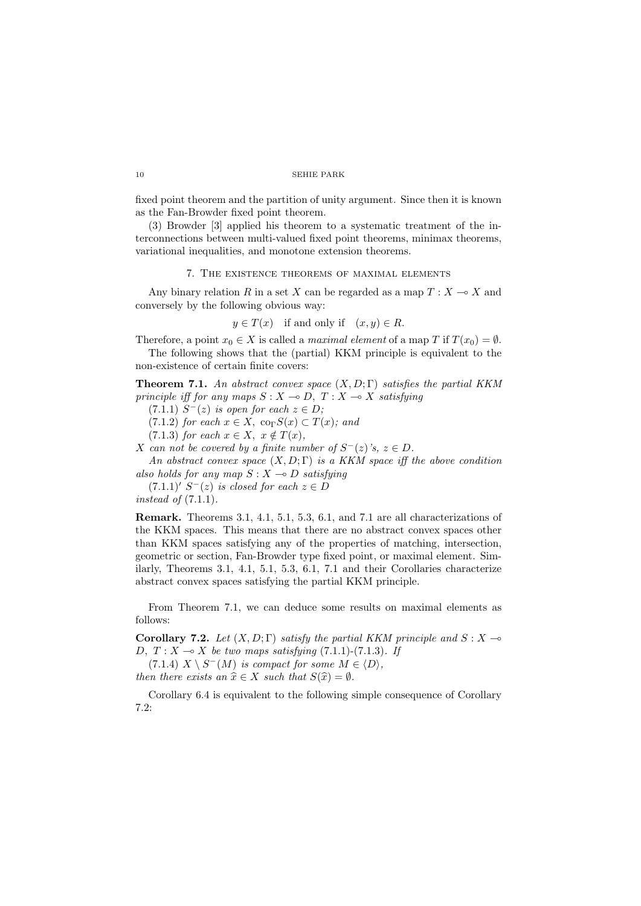fixed point theorem and the partition of unity argument. Since then it is known as the Fan-Browder fixed point theorem.

(3) Browder [3] applied his theorem to a systematic treatment of the interconnections between multi-valued fixed point theorems, minimax theorems, variational inequalities, and monotone extension theorems.

### 7. The existence theorems of maximal elements

Any binary relation R in a set X can be regarded as a map  $T : X \longrightarrow X$  and conversely by the following obvious way:

$$
y \in T(x)
$$
 if and only if  $(x, y) \in R$ .

Therefore, a point  $x_0 \in X$  is called a *maximal element* of a map T if  $T(x_0) = \emptyset$ . The following shows that the (partial) KKM principle is equivalent to the

non-existence of certain finite covers:

**Theorem 7.1.** An abstract convex space  $(X, D; \Gamma)$  satisfies the partial KKM principle iff for any maps  $S : X \to D$ ,  $T : X \to X$  satisfying

 $(7.1.1)$   $S^{-}(z)$  is open for each  $z \in D$ ;

(7.1.2) for each  $x \in X$ ,  $\operatorname{co}_{\Gamma}S(x) \subset T(x)$ ; and

(7.1.3) for each  $x \in X$ ,  $x \notin T(x)$ ,

X can not be covered by a finite number of  $S^-(z)$ 's,  $z \in D$ .

An abstract convex space  $(X, D; \Gamma)$  is a KKM space iff the above condition also holds for any map  $S: X \rightarrow D$  satisfying

 $(7.1.1)'$   $S^{-}(z)$  is closed for each  $z \in D$ instead of  $(7.1.1)$ .

Remark. Theorems 3.1, 4.1, 5.1, 5.3, 6.1, and 7.1 are all characterizations of the KKM spaces. This means that there are no abstract convex spaces other than KKM spaces satisfying any of the properties of matching, intersection, geometric or section, Fan-Browder type fixed point, or maximal element. Similarly, Theorems 3.1, 4.1, 5.1, 5.3, 6.1, 7.1 and their Corollaries characterize abstract convex spaces satisfying the partial KKM principle.

From Theorem 7.1, we can deduce some results on maximal elements as follows:

Corollary 7.2. Let  $(X, D; \Gamma)$  satisfy the partial KKM principle and  $S: X \rightarrow$ D,  $T: X \rightarrow X$  be two maps satisfying (7.1.1)-(7.1.3). If

 $(7.1.4)$   $X \setminus S^{-1}(M)$  is compact for some  $M \in \langle D \rangle$ , then there exists an  $\hat{x} \in X$  such that  $S(\hat{x}) = \emptyset$ .

Corollary 6.4 is equivalent to the following simple consequence of Corollary 7.2: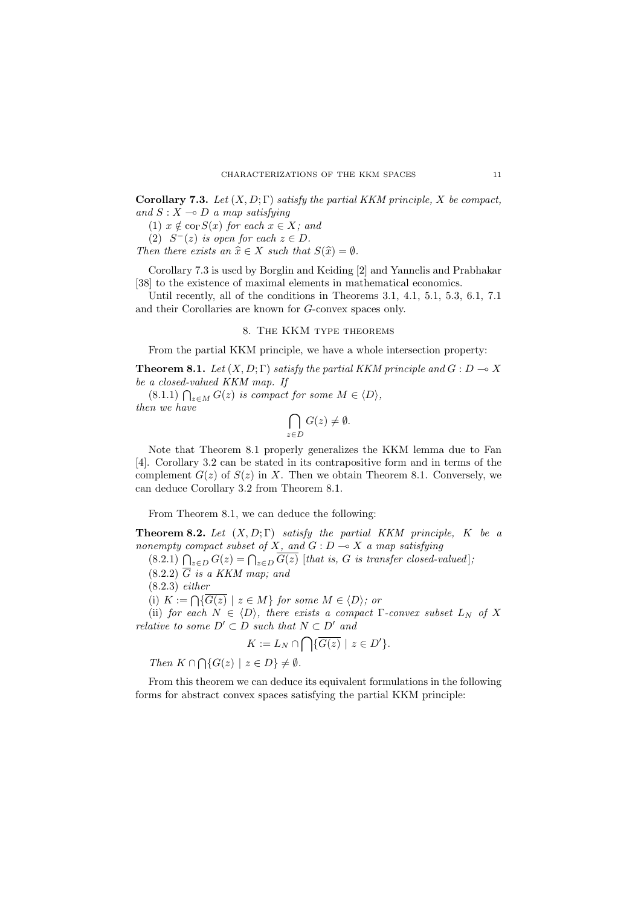Corollary 7.3. Let  $(X, D; \Gamma)$  satisfy the partial KKM principle, X be compact, and  $S: X \longrightarrow D$  a map satisfying

(1)  $x \notin \text{co}_{\Gamma}S(x)$  for each  $x \in X$ ; and

(2)  $S^{-}(z)$  is open for each  $z \in D$ .

Then there exists an  $\hat{x} \in X$  such that  $S(\hat{x}) = \emptyset$ .

Corollary 7.3 is used by Borglin and Keiding [2] and Yannelis and Prabhakar [38] to the existence of maximal elements in mathematical economics.

Until recently, all of the conditions in Theorems 3.1, 4.1, 5.1, 5.3, 6.1, 7.1 and their Corollaries are known for G-convex spaces only.

# 8. The KKM type theorems

From the partial KKM principle, we have a whole intersection property:

**Theorem 8.1.** Let  $(X, D; \Gamma)$  satisfy the partial KKM principle and  $G: D \to X$ be a closed-valued KKM map. If

 $(8.1.1) \bigcap_{z \in M} G(z)$  is compact for some  $M \in \langle D \rangle$ , then we have

$$
\bigcap_{z \in D} G(z) \neq \emptyset.
$$

Note that Theorem 8.1 properly generalizes the KKM lemma due to Fan [4]. Corollary 3.2 can be stated in its contrapositive form and in terms of the complement  $G(z)$  of  $S(z)$  in X. Then we obtain Theorem 8.1. Conversely, we can deduce Corollary 3.2 from Theorem 8.1.

From Theorem 8.1, we can deduce the following:

**Theorem 8.2.** Let  $(X, D; \Gamma)$  satisfy the partial KKM principle, K be a nonempty compact subset of X, and  $G: D \longrightarrow X$  a map satisfying

 $(8.2.1)$   $\bigcap_{z \in D} G(z) = \bigcap_{z \in D} G(z)$  [that is, G is transfer closed-valued];

 $(8.2.2)$   $\overline{G}$  is a KKM map; and

(8.2.3) either

(i)  $K := \bigcap \{ G(z) \mid z \in M \}$  for some  $M \in \langle D \rangle$ ; or

(ii) for each  $N \in \langle D \rangle$ , there exists a compact Γ-convex subset  $L_N$  of X relative to some  $D' \subset D$  such that  $N \subset D'$  and

$$
K := L_N \cap \bigcap \{ \overline{G(z)} \mid z \in D' \}.
$$

Then  $K \cap \bigcap \{G(z) \mid z \in D\} \neq \emptyset$ .

From this theorem we can deduce its equivalent formulations in the following forms for abstract convex spaces satisfying the partial KKM principle: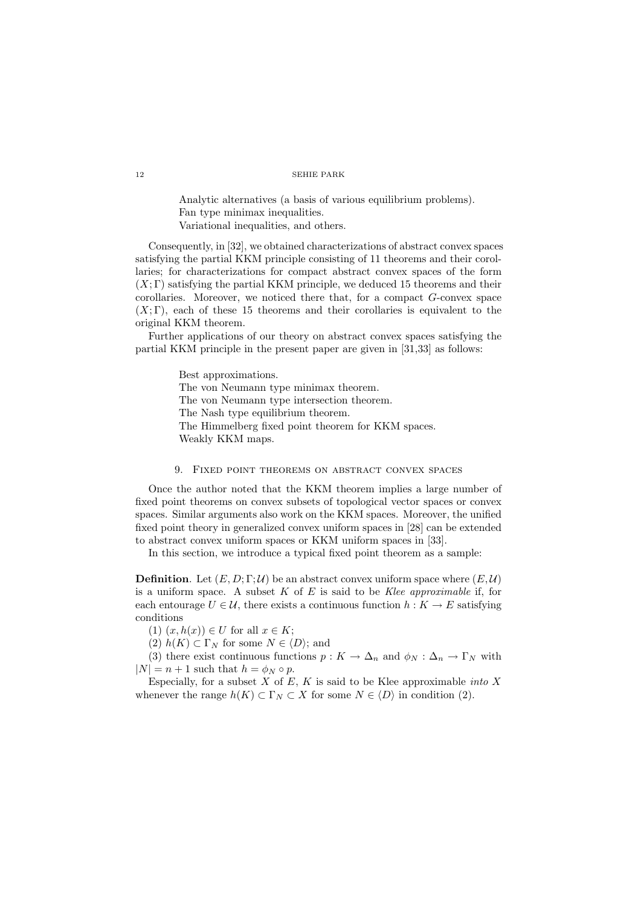Analytic alternatives (a basis of various equilibrium problems). Fan type minimax inequalities. Variational inequalities, and others.

Consequently, in [32], we obtained characterizations of abstract convex spaces satisfying the partial KKM principle consisting of 11 theorems and their corollaries; for characterizations for compact abstract convex spaces of the form  $(X; \Gamma)$  satisfying the partial KKM principle, we deduced 15 theorems and their corollaries. Moreover, we noticed there that, for a compact G-convex space  $(X; \Gamma)$ , each of these 15 theorems and their corollaries is equivalent to the original KKM theorem.

Further applications of our theory on abstract convex spaces satisfying the partial KKM principle in the present paper are given in [31,33] as follows:

> Best approximations. The von Neumann type minimax theorem. The von Neumann type intersection theorem. The Nash type equilibrium theorem. The Himmelberg fixed point theorem for KKM spaces. Weakly KKM maps.

# 9. Fixed point theorems on abstract convex spaces

Once the author noted that the KKM theorem implies a large number of fixed point theorems on convex subsets of topological vector spaces or convex spaces. Similar arguments also work on the KKM spaces. Moreover, the unified fixed point theory in generalized convex uniform spaces in [28] can be extended to abstract convex uniform spaces or KKM uniform spaces in [33].

In this section, we introduce a typical fixed point theorem as a sample:

**Definition.** Let  $(E, D; \Gamma; \mathcal{U})$  be an abstract convex uniform space where  $(E, \mathcal{U})$ is a uniform space. A subset  $K$  of  $E$  is said to be Klee approximable if, for each entourage  $U \in \mathcal{U}$ , there exists a continuous function  $h: K \to E$  satisfying conditions

(1)  $(x, h(x)) \in U$  for all  $x \in K$ ;

(2)  $h(K) \subset \Gamma_N$  for some  $N \in \langle D \rangle$ ; and

(3) there exist continuous functions  $p: K \to \Delta_n$  and  $\phi_N: \Delta_n \to \Gamma_N$  with  $|N| = n + 1$  such that  $h = \phi_N \circ p$ .

Especially, for a subset  $X$  of  $E, K$  is said to be Klee approximable *into*  $X$ whenever the range  $h(K) \subset \Gamma_N \subset X$  for some  $N \in \langle D \rangle$  in condition (2).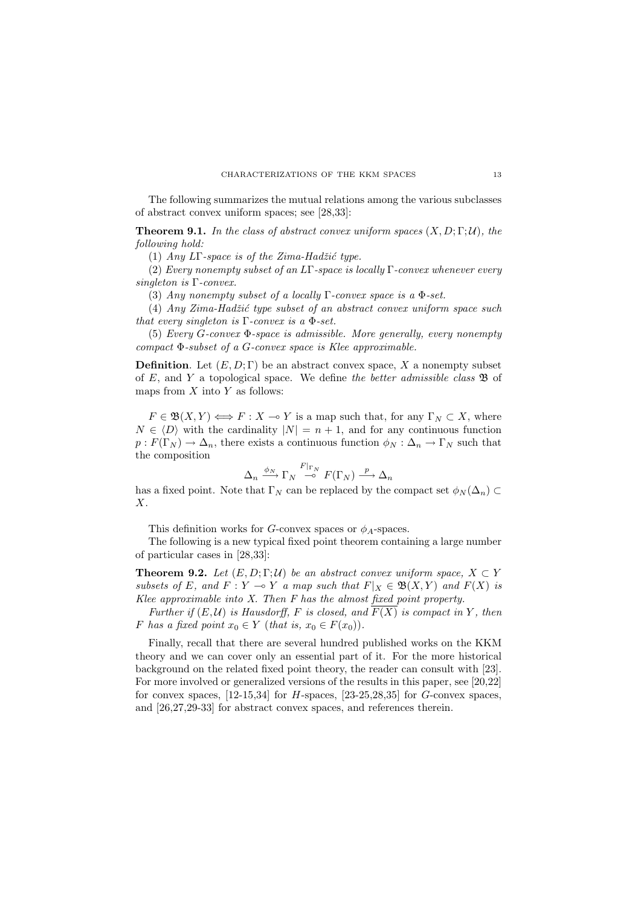The following summarizes the mutual relations among the various subclasses of abstract convex uniform spaces; see [28,33]:

**Theorem 9.1.** In the class of abstract convex uniform spaces  $(X, D; \Gamma; \mathcal{U})$ , the following hold:

(1) Any LΓ-space is of the Zima-Hadžić type.

(2) Every nonempty subset of an LΓ-space is locally Γ-convex whenever every singleton is Γ-convex.

(3) Any nonempty subset of a locally  $\Gamma$ -convex space is a  $\Phi$ -set.

 $(4)$  Any Zima-Hadžić type subset of an abstract convex uniform space such that every singleton is  $\Gamma$ -convex is a  $\Phi$ -set.

(5) Every G-convex Φ-space is admissible. More generally, every nonempty compact  $\Phi$ -subset of a G-convex space is Klee approximable.

**Definition.** Let  $(E, D; \Gamma)$  be an abstract convex space, X a nonempty subset of E, and Y a topological space. We define the better admissible class  $\mathfrak{B}$  of maps from  $X$  into  $Y$  as follows:

 $F \in \mathfrak{B}(X,Y) \Longleftrightarrow F : X \multimap Y$  is a map such that, for any  $\Gamma_N \subset X$ , where  $N \in \langle D \rangle$  with the cardinality  $|N| = n + 1$ , and for any continuous function  $p: F(\Gamma_N) \to \Delta_n$ , there exists a continuous function  $\phi_N : \Delta_n \to \Gamma_N$  such that the composition

$$
\Delta_n \xrightarrow{\phi_N} \Gamma_N \xrightarrow{F|_{\Gamma_N}} F(\Gamma_N) \xrightarrow{p} \Delta_n
$$

has a fixed point. Note that  $\Gamma_N$  can be replaced by the compact set  $\phi_N(\Delta_n) \subset$ X.

This definition works for G-convex spaces or  $\phi_A$ -spaces.

The following is a new typical fixed point theorem containing a large number of particular cases in [28,33]:

**Theorem 9.2.** Let  $(E, D; \Gamma; \mathcal{U})$  be an abstract convex uniform space,  $X \subset Y$ subsets of E, and  $F: Y \multimap Y$  a map such that  $F|_X \in \mathfrak{B}(X, Y)$  and  $F(X)$  is Klee approximable into  $X$ . Then  $F$  has the almost fixed point property.

Further if  $(E,\mathcal{U})$  is Hausdorff, F is closed, and  $\overline{F(X)}$  is compact in Y, then F has a fixed point  $x_0 \in Y$  (that is,  $x_0 \in F(x_0)$ ).

Finally, recall that there are several hundred published works on the KKM theory and we can cover only an essential part of it. For the more historical background on the related fixed point theory, the reader can consult with [23]. For more involved or generalized versions of the results in this paper, see [20,22] for convex spaces,  $[12-15,34]$  for H-spaces,  $[23-25,28,35]$  for G-convex spaces, and [26,27,29-33] for abstract convex spaces, and references therein.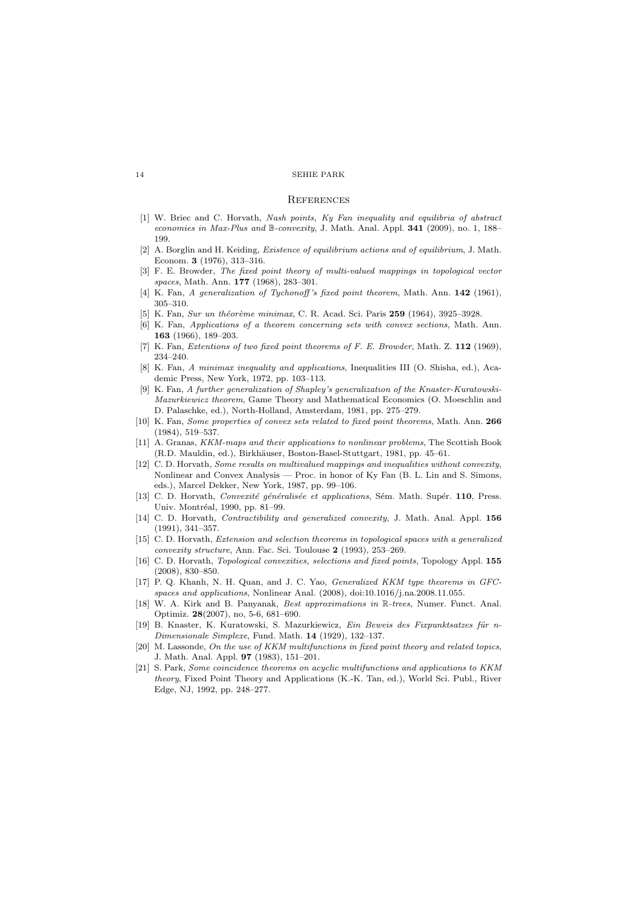#### **REFERENCES**

- [1] W. Briec and C. Horvath, Nash points, Ky Fan inequality and equilibria of abstract economies in Max-Plus and B-convexity, J. Math. Anal. Appl. 341 (2009), no. 1, 188– 199.
- [2] A. Borglin and H. Keiding, Existence of equilibrium actions and of equilibrium, J. Math. Econom. 3 (1976), 313–316.
- [3] F. E. Browder, The fixed point theory of multi-valued mappings in topological vector spaces, Math. Ann. **177** (1968), 283-301.
- [4] K. Fan, A generalization of Tychonoff's fixed point theorem, Math. Ann. 142 (1961), 305–310.
- K. Fan, Sur un théorème minimax, C. R. Acad. Sci. Paris 259 (1964), 3925–3928.
- [6] K. Fan, Applications of a theorem concerning sets with convex sections, Math. Ann. 163 (1966), 189–203.
- [7] K. Fan, Extentions of two fixed point theorems of F. E. Browder, Math. Z. 112 (1969), 234–240.
- [8] K. Fan, A minimax inequality and applications, Inequalities III (O. Shisha, ed.), Academic Press, New York, 1972, pp. 103–113.
- [9] K. Fan, A further generalization of Shapley's generalization of the Knaster-Kuratowski-Mazurkiewicz theorem, Game Theory and Mathematical Economics (O. Moeschlin and D. Palaschke, ed.), North-Holland, Amsterdam, 1981, pp. 275–279.
- [10] K. Fan, Some properties of convex sets related to fixed point theorems, Math. Ann. 266 (1984), 519–537.
- [11] A. Granas, KKM-maps and their applications to nonlinear problems, The Scottish Book (R.D. Mauldin, ed.), Birkh¨auser, Boston-Basel-Stuttgart, 1981, pp. 45–61.
- [12] C. D. Horvath, Some results on multivalued mappings and inequalities without convexity, Nonlinear and Convex Analysis — Proc. in honor of Ky Fan (B. L. Lin and S. Simons, eds.), Marcel Dekker, New York, 1987, pp. 99–106.
- [13] C. D. Horvath, Convexité généralisée et applications, Sém. Math. Supér. 110, Press. Univ. Montréal, 1990, pp. 81-99.
- [14] C. D. Horvath, *Contractibility and generalized convexity*, J. Math. Anal. Appl. 156 (1991), 341–357.
- [15] C. D. Horvath, Extension and selection theorems in topological spaces with a generalized convexity structure, Ann. Fac. Sci. Toulouse 2 (1993), 253–269.
- [16] C. D. Horvath, Topological convexities, selections and fixed points, Topology Appl. 155 (2008), 830–850.
- [17] P. Q. Khanh, N. H. Quan, and J. C. Yao, Generalized KKM type theorems in GFCspaces and applications, Nonlinear Anal. (2008), doi:10.1016/j.na.2008.11.055.
- [18] W. A. Kirk and B. Panyanak, Best approximations in R-trees, Numer. Funct. Anal. Optimiz. 28(2007), no, 5-6, 681–690.
- [19] B. Knaster, K. Kuratowski, S. Mazurkiewicz, Ein Beweis des Fixpunktsatzes für n-Dimensionale Simplexe, Fund. Math. 14 (1929), 132–137.
- [20] M. Lassonde, On the use of KKM multifunctions in fixed point theory and related topics, J. Math. Anal. Appl. 97 (1983), 151–201.
- [21] S. Park, Some coincidence theorems on acyclic multifunctions and applications to KKM theory, Fixed Point Theory and Applications (K.-K. Tan, ed.), World Sci. Publ., River Edge, NJ, 1992, pp. 248–277.